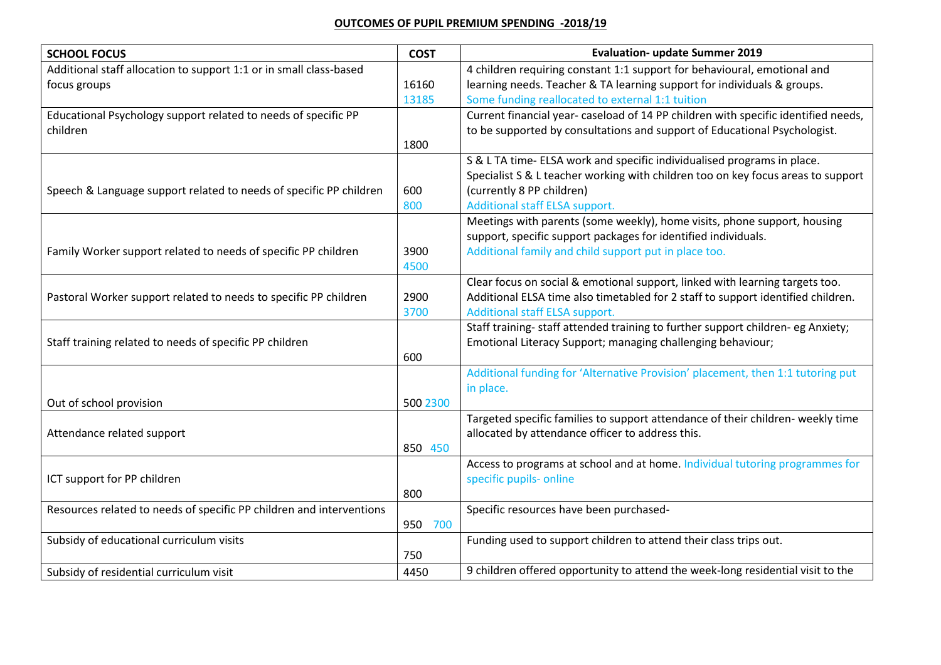## **OUTCOMES OF PUPIL PREMIUM SPENDING -2018/19**

| <b>SCHOOL FOCUS</b>                                                  | <b>COST</b> | <b>Evaluation- update Summer 2019</b>                                                                                   |
|----------------------------------------------------------------------|-------------|-------------------------------------------------------------------------------------------------------------------------|
| Additional staff allocation to support 1:1 or in small class-based   |             | 4 children requiring constant 1:1 support for behavioural, emotional and                                                |
| focus groups                                                         | 16160       | learning needs. Teacher & TA learning support for individuals & groups.                                                 |
|                                                                      | 13185       | Some funding reallocated to external 1:1 tuition                                                                        |
| Educational Psychology support related to needs of specific PP       |             | Current financial year-caseload of 14 PP children with specific identified needs,                                       |
| children                                                             |             | to be supported by consultations and support of Educational Psychologist.                                               |
|                                                                      | 1800        |                                                                                                                         |
|                                                                      |             | S & L TA time- ELSA work and specific individualised programs in place.                                                 |
|                                                                      |             | Specialist S & L teacher working with children too on key focus areas to support                                        |
| Speech & Language support related to needs of specific PP children   | 600         | (currently 8 PP children)                                                                                               |
|                                                                      | 800         | <b>Additional staff ELSA support.</b>                                                                                   |
|                                                                      |             | Meetings with parents (some weekly), home visits, phone support, housing                                                |
| Family Worker support related to needs of specific PP children       | 3900        | support, specific support packages for identified individuals.<br>Additional family and child support put in place too. |
|                                                                      | 4500        |                                                                                                                         |
|                                                                      |             | Clear focus on social & emotional support, linked with learning targets too.                                            |
| Pastoral Worker support related to needs to specific PP children     | 2900        | Additional ELSA time also timetabled for 2 staff to support identified children.                                        |
|                                                                      | 3700        | Additional staff ELSA support.                                                                                          |
|                                                                      |             | Staff training- staff attended training to further support children- eg Anxiety;                                        |
| Staff training related to needs of specific PP children              |             | Emotional Literacy Support; managing challenging behaviour;                                                             |
|                                                                      | 600         |                                                                                                                         |
|                                                                      |             | Additional funding for 'Alternative Provision' placement, then 1:1 tutoring put                                         |
|                                                                      |             | in place.                                                                                                               |
| Out of school provision                                              | 500 2300    |                                                                                                                         |
|                                                                      |             | Targeted specific families to support attendance of their children- weekly time                                         |
| Attendance related support                                           |             | allocated by attendance officer to address this.                                                                        |
|                                                                      | 850 450     |                                                                                                                         |
|                                                                      |             | Access to programs at school and at home. Individual tutoring programmes for                                            |
| ICT support for PP children                                          |             | specific pupils- online                                                                                                 |
|                                                                      | 800         |                                                                                                                         |
| Resources related to needs of specific PP children and interventions |             | Specific resources have been purchased-                                                                                 |
|                                                                      | 950 700     |                                                                                                                         |
| Subsidy of educational curriculum visits                             |             | Funding used to support children to attend their class trips out.                                                       |
|                                                                      | 750         |                                                                                                                         |
| Subsidy of residential curriculum visit                              | 4450        | 9 children offered opportunity to attend the week-long residential visit to the                                         |